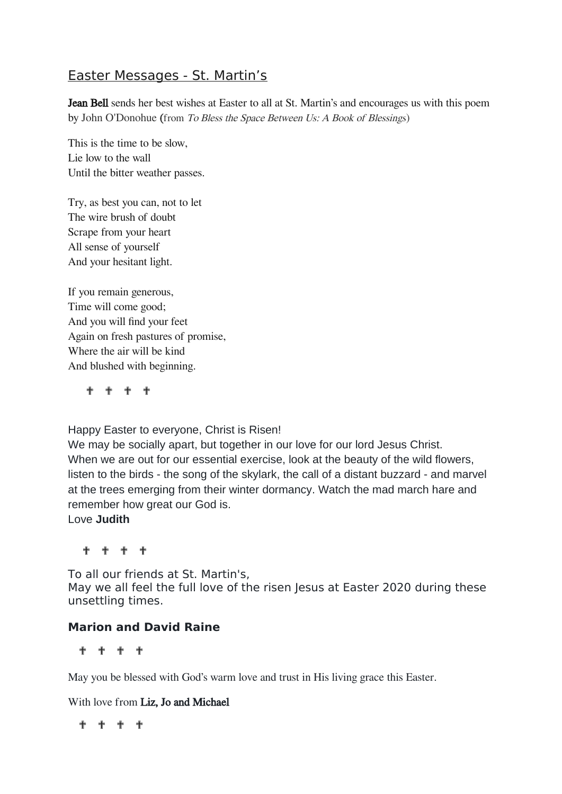# Easter Messages - St. Martin's

Jean Bell sends her best wishes at Easter to all at St. Martin's and encourages us with this poem by John O'Donohue (from To Bless the Space Between Us: A Book of Blessings)

This is the time to be slow, Lie low to the wall Until the bitter weather passes.

Try, as best you can, not to let The wire brush of doubt Scrape from your heart All sense of yourself And your hesitant light.

If you remain generous, Time will come good; And you will find your feet Again on fresh pastures of promise, Where the air will be kind And blushed with beginning.

**f f f f** 

Happy Easter to everyone, Christ is Risen!

We may be socially apart, but together in our love for our lord Jesus Christ. When we are out for our essential exercise, look at the beauty of the wild flowers, listen to the birds - the song of the skylark, the call of a distant buzzard - and marvel at the trees emerging from their winter dormancy. Watch the mad march hare and remember how great our God is.

Love **Judith**

**f f f f** 

To all our friends at St. Martin's, May we all feel the full love of the risen Jesus at Easter 2020 during these unsettling times.

# **Marion and David Raine**

**+ + + +** 

May you be blessed with God's warm love and trust in His living grace this Easter.

With love from Liz, Jo and Michael

**. . . . .**